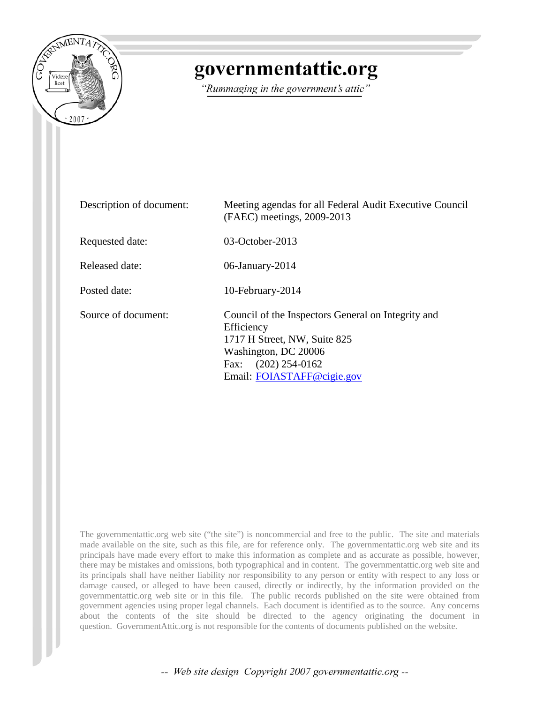

# governmentattic.org

"Rummaging in the government's attic"

| Description of document: | Meeting agendas for all Federal Audit Executive Council<br>(FAEC) meetings, 2009-2013                                                                                              |
|--------------------------|------------------------------------------------------------------------------------------------------------------------------------------------------------------------------------|
| Requested date:          | 03-October-2013                                                                                                                                                                    |
| <b>Released date:</b>    | 06-January-2014                                                                                                                                                                    |
| Posted date:             | 10-February-2014                                                                                                                                                                   |
| Source of document:      | Council of the Inspectors General on Integrity and<br>Efficiency<br>1717 H Street, NW, Suite 825<br>Washington, DC 20006<br>$(202)$ 254-0162<br>Fax:<br>Email: FOIASTAFF@cigie.gov |

The governmentattic.org web site ("the site") is noncommercial and free to the public. The site and materials made available on the site, such as this file, are for reference only. The governmentattic.org web site and its principals have made every effort to make this information as complete and as accurate as possible, however, there may be mistakes and omissions, both typographical and in content. The governmentattic.org web site and its principals shall have neither liability nor responsibility to any person or entity with respect to any loss or damage caused, or alleged to have been caused, directly or indirectly, by the information provided on the governmentattic.org web site or in this file. The public records published on the site were obtained from government agencies using proper legal channels. Each document is identified as to the source. Any concerns about the contents of the site should be directed to the agency originating the document in question. GovernmentAttic.org is not responsible for the contents of documents published on the website.

-- Web site design Copyright 2007 governmentattic.org --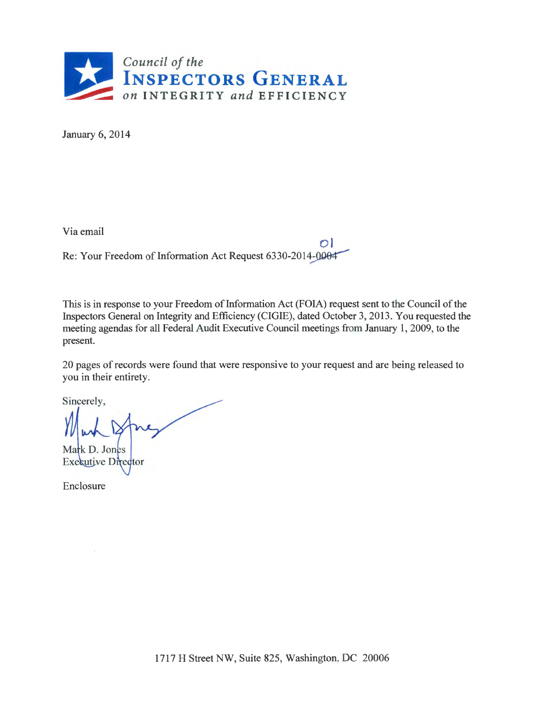

January 6, 2014

Via email

 $O<sub>l</sub>$ Re: Your Freedom of Information Act Request 6330-2014-0004

This is in response to your Freedom of Information Act (FOIA) request sent to the Council of the Inspectors General on Integrity and Efficiency (CIGIE), dated October 3, 2013. You requested the meeting agendas for all Federal Audit Executive Council meetings from January 1, 2009, to the present.

20 pages of records were found that were responsive to your request and are being released to you in their entirety.

Sincerely,

Mark D. Jones **Executive Director** 

Enclosure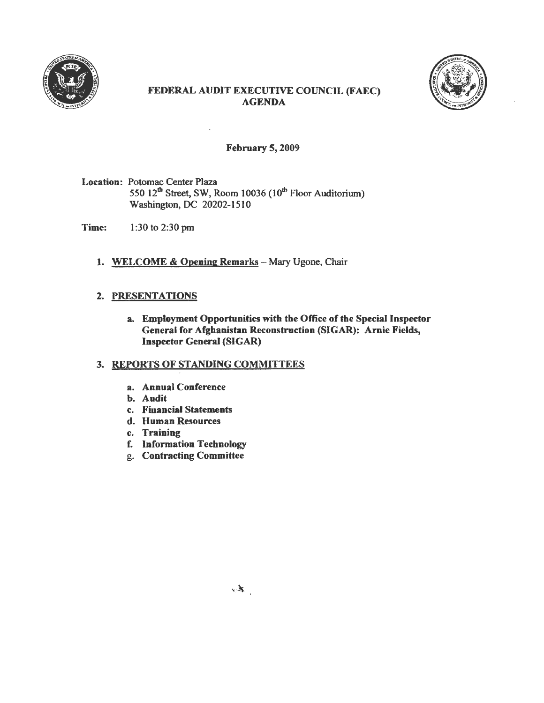



## FEDERAL AUDIT EXECUTIVE COUNCIL (FAEC) AGENDA

#### February 5, 2009

Location: Potomac Center Plaza 550  $12<sup>th</sup>$  Street, SW, Room 10036 (10<sup>th</sup> Floor Auditorium) Washington, DC 20202-1510

Time: 1 :30 to 2:30 pm

1. WELCOME & Opening Remarks - Mary Ugone, Chair

#### 2. PRESENTATIONS

a. Employment Opportunities with the Office of the Special Inspector General for Afghanistan Reconstruction (SIGAR): Arnie Fields, Inspector General (SIGAR)

#### 3. REPORTS OF STANDING COMMITTEES

- a. Annual Conference
- b. Audit
- c. Financial Statements
- d. Human Resources
- c. Training
- f. Information Technology
- g. Contracting Committee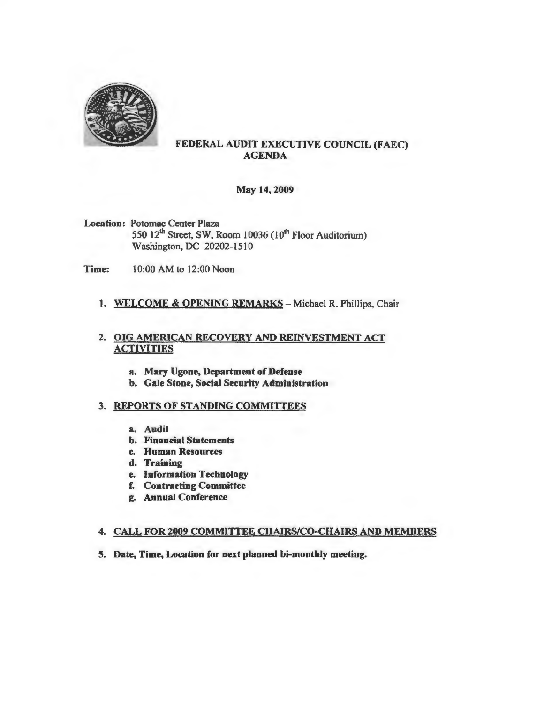

## FEDERAL AUDIT EXECUTIVE COUNCIL (FAEC) AGENDA

May 14, 2009

- Location: Potomac Center Plaza 550  $12<sup>th</sup>$  Street, SW, Room 10036 (10<sup>th</sup> Floor Auditorium) Washington. DC 20202-1510
- Time: 10:00 AM to 12:00 Noon

#### 1. WELCOME & OPENING REMARKS - Michael R. Phillips, Chair

#### 2. OIG AMERICAN RECOVERY AND REINVESTMENT ACT ACTIVITIES

- a. Mary Ugone, Department of Defense
- b. Gale Stone, Social Security Administration

#### 3. REPORTS OF STANDING COMMITTEES

- a. Audit
- b. Financial Statements
- c. Human Resources
- d. Training
- e. Information Technology
- f. Contracting Committee
- g. Annual Conference

#### 4. CALL FOR 2009 COMMITTEE CHAIRS/CO-CHAIRS AND MEMBERS

5. Date, Time, Location for next planned bi-monthly meeting.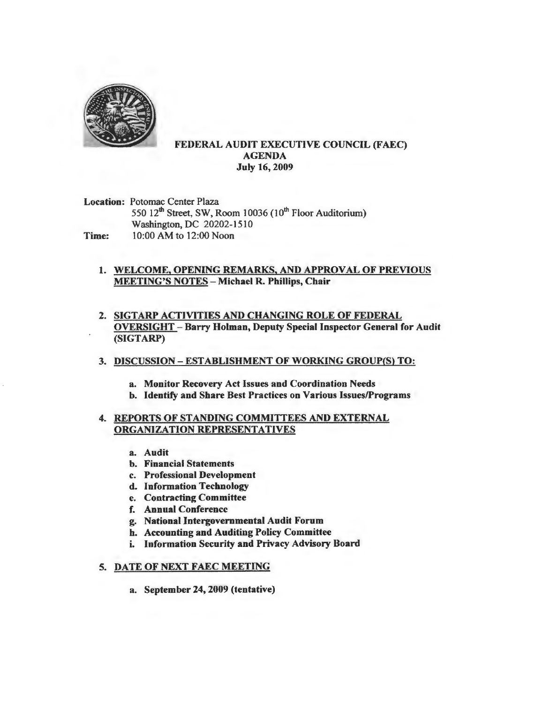

#### FEDERAL AUDIT EXECUTIVE COUNCIL (FAEC) AGENDA July 16, 2009

Location: Potomac Center Plaza 550 12<sup>th</sup> Street, SW, Room 10036 (10<sup>th</sup> Floor Auditorium) Washington, DC 20202-1510 Time: 10:00 AM to 12:00 Noon

#### 1. WELCOME, OPENING REMARKS, AND APPROVAL OF PREVIOUS MEETING'S NOTES - Michael R. Phillips, Chair

2. SIGTARP ACTIVITIES AND CHANGING ROLE OF FEDERAL OVERSIGHT - Barry Holman, Deputy Special Inspector General for Audit (SIGTARP)

#### 3. DISCUSSION - ESTABLISHMENT OF WORKING GROUP(S) TO:

- a. Monitor Recovery Act Issues and Coordination Needs
- b. Identify and Share Best Practices on Various Issues/Programs

#### 4. REPORTS OF STANDING COMMITTEES AND EXTERNAL ORGANIZATION REPRESENTATIVES

- a. Audit
- b. Financial Statements
- c. Professional Development
- d. Information Technology
- e. Contracting Committee
- f. Annual Conference
- g. National Intergovernmental Audit Forum
- b. Accounting and Auditing Policy Committee
- i. Information Security and Privacy Advisory Board

#### 5. DATE OF NEXT FAEC MEETING

a. September 24, 2009 (tentative)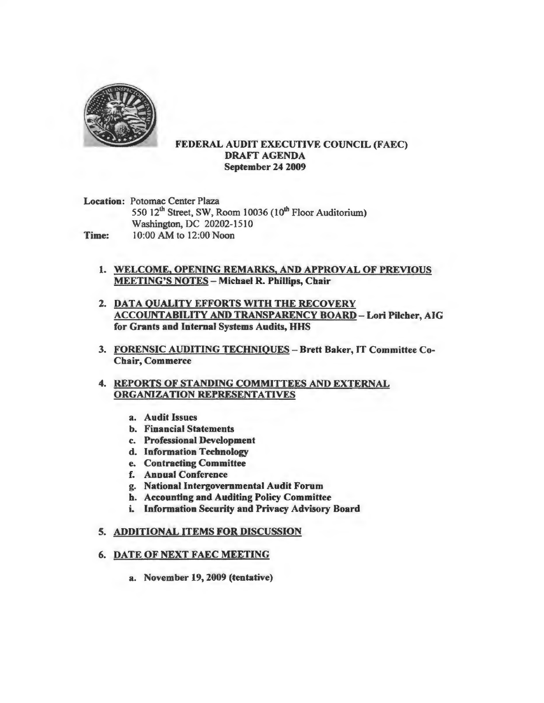

#### FEDERAL AUDIT EXECUTIVE COUNCIL (FAEC) DRAFf AGENDA September 24 2009

Location: Potomac Center Plaza 550 12<sup>th</sup> Street, SW, Room 10036 (10<sup>th</sup> Floor Auditorium) Washington, DC 20202-1510 **Time:** 10:00 AM to 12:00 Noon

- 1. WELCOME, OPENING REMARKS, AND APPROVAL OF PREVIOUS MEETING'S NOTES - Michael R. Phillips, Chair
- 2. DATA QUALITY EFFORTS WITH THE RECOVERY ACCOUNT ABILITY AND TRANSPARENCY BOARD- Lori Pilcher, AIG for Grants and Internal Systems Audits, HHS
- 3. FORENSIC AUDITING TECHNIQUES Brett Baker, IT Committee Co-Chair, Commerce
- 4. REPORTS OF STANDING COMMITTEES AND EXTERNAL ORGANIZATION REPRESENTATIVES
	- a. Audit Issues
	- b. Financial Statements
	- c. Professional Development
	- d. Information Technology
	- e. Contracting Committee
	- f. Annual Conference
	- g. National Intergovernmental Audit Forum
	- h. Accounting and Auditing Policy Committee
	- i. Information Security and Privacy Advisory Board

#### S. ADDITIONAL ITEMS FOR DISCUSSION

#### 6. DATE OF NEXT FAEC MEETING

a. November 19, 2009 (tentative)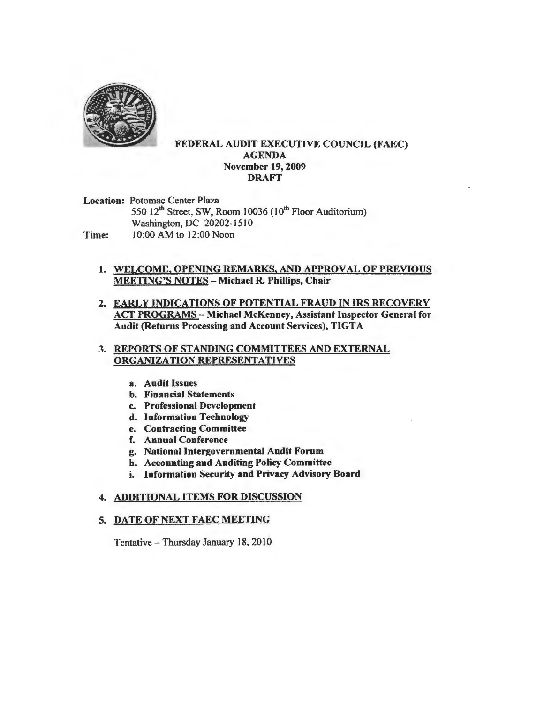

#### FEDERAL AUDIT EXECUTIVE COUNCIL (FAEC) AGENDA November 19, 2009 DRAFT

Location: Potomac Center Plaza 550  $12^{th}$  Street, SW, Room 10036 (10<sup>th</sup> Floor Auditorium) Washington, DC 20202-1510 Time: 10:00 AM to 12:00 Noon

- 1. WELCOME, OPENING REMARKS, AND APPROVAL OF PREVIOUS MEETING'S NOTES - Michael R. Phillips, Chair
- 2. EARLY INDICATIONS OF POTENTIAL FRAUD IN IRS RECOVERY ACT PROGRAMS - Michael McKenney, Assistant Inspector General for Audit (Returns Processing and Account Services), TIGTA

#### 3. REPORTS OF STANDING COMMITTEES AND EXTERNAL ORGANIZATION REPRESENTATIVES

- a. Audit Issues
- b. Financial Statements
- c. Professional Development
- d. Information Technology
- e. Contracting Committee
- f. Annual Conference
- g. National Intergovernmental Audit Forum
- b. Accounting and Auditing Policy Committee
- i. Information Security and Privacy Advisory Board

#### 4. ADDITIONAL ITEMS FOR DISCUSSION

#### 5. DATE OF NEXT FAEC MEETING

Tentative - Thursday January 18, 2010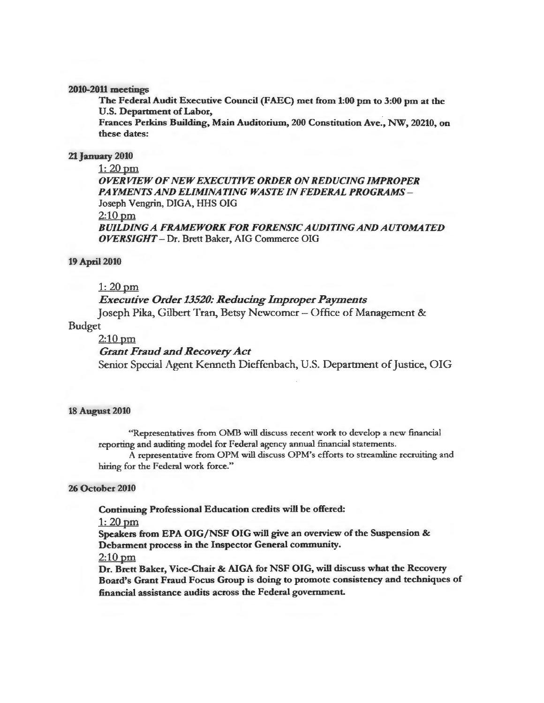2010-2011 meetings

The Federal Audit Executive Council (FAEC) met from 1:00 pm to 3:00 pm at the U.S. Department of Labor,

Frances Perkins Building, Main Auditorium, 200 Constitution Ave., NW, 20210, on these dates:

#### 21 January 2010

 $1: 20$  pm *OVERVIEW OF NEW EXECUTIVE ORDER ON REDUCING IMPROPER PAYMENTS AND ELIMINATING WASTE IN FEDERAL PROGRAMS* - Joseph Vengrin, DIGA, HHS OIG  $2:10$  pm *BUILDING A FRAMEWORK FOR FORENSIC AUDITING AND AUTOMATED OVERSIGHT* - Dr. Brett Baker, AIG Commerce OIG

#### 19 April 2010

#### $1: 20$  pm

#### *Executive Order 13520: Reducing Improper Payments*

Joseph Pika, Gilbert Tran, Betsy Newcomer - Office of Management &

#### Budget

#### $2:10$  pm

#### *Grant Fraud and Recovery Act*

Senior Special Agent Kenneth Dieffenbach, U.S. Department of Justice, OIG

#### 18 August 2010

"Representatives from OMB will discuss recent work to develop a new financial reporting and auditing model for Federal agency annual financial statements.

A representative from OPM will discuss OPM's efforts to streamline recruiting and hiring for the Federal work force."

#### 26 October 2010

Continuing Professional Education credits will be offered:

#### 1: 20pm

Speakers from EPA OIG/NSF OIG will give an overview of the Suspension & Debarment process in the Inspector General community.

 $2:10$  pm

Dr. Brett Baker, Vice-Chair & AIGA for NSF OIG, will discuss what the Recovery Board's Grant Fraud Focus Group is doing to promote consistency and techniques of financial assistance audits across the Federal government.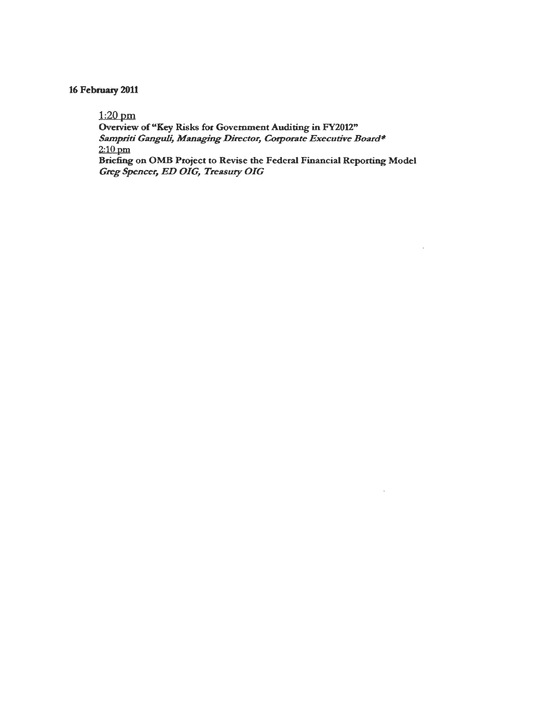## 16 February 2011

1:20pm

Overview of "Key Risks for Government Auditing in FY2012"  $S$ ampriti Ganguli, Managing Director, Corporate Executive Board\*  $2:10$  pm Briefing on OMB Project to Revise the Federal Financial Reporting Model

*Greg Spencer, ED OIG, Treasury OIG*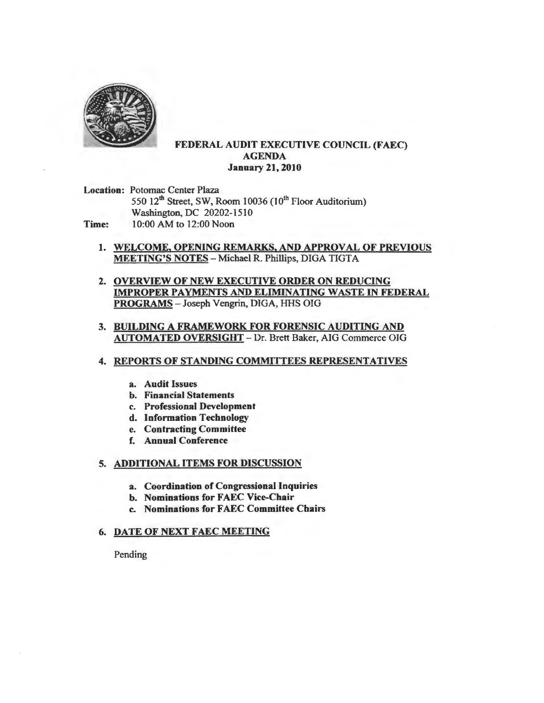

#### FEDERAL AUDIT EXECUTIVE COUNCIL (FAEC) AGENDA January 21, 2010

Location: Potomac Center Plaza 550 12<sup>th</sup> Street, SW, Room 10036 (10<sup>th</sup> Floor Auditorium) Washington, DC 20202-1510 Time: 10:00 AM to 12:00 Noon

- 1. WELCOME, OPENING REMARKS, AND APPROVAL OF PREVIOUS MEETING'S NOTES - Michael R. Phillips, DIGA TIGTA
- 2. OVERVIEW OF NEW EXECUTIVE ORDER ON REDUCING IMPROPER PAYMENTS AND ELIMINATING WASTE IN FEDERAL PROGRAMS-Joseph Vengrin, DIGA, HHS OIG
- 3. BUILDING A FRAMEWORK FOR FORENSIC AUDITING AND AUTOMATED OVERSIGHT - Dr. Brett Baker, AIG Commerce OIG

#### 4. REPORTS OF STANDING COMMITTEES REPRESENTATIVES

- a. Audit Issues
- b. Financial Statements
- c. Professional Development
- d. Information Technology
- e. Contracting Committee
- f. Annual Conference
- 5. ADDITIONAL ITEMS FOR DISCUSSION
	- a. Coordination of Congressional Inquiries
	- b. Nominations for FAEC Vice-Chair
	- c. Nominations for FAEC Committee Chairs

#### 6. DATE OF NEXT FAEC MEETING

Pending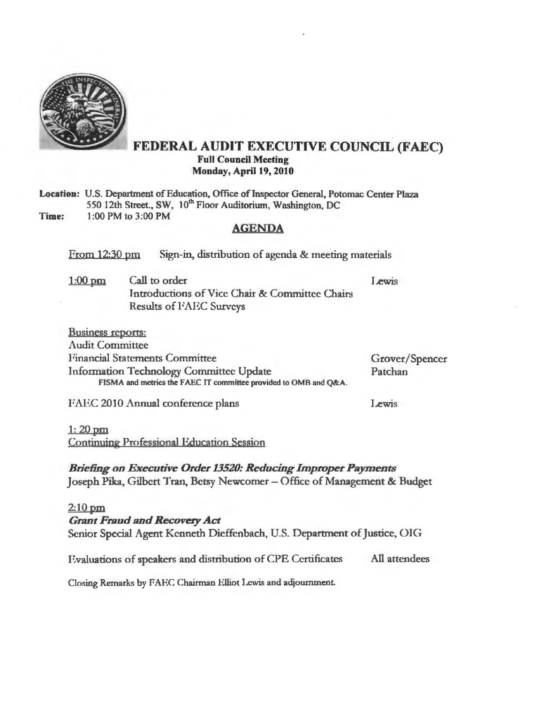

## FEDERAL AUDIT EXECUTIVE COUNCIL (FAEC) Full Council Meeting Monday, April 19, 2010

Location: U.S. Department of Education, Office of Inspector General, Potomac Center Plaza 550 12th Street., SW, 10<sup>th</sup> Floor Auditorium, Washington, DC Time: l :00 PM to 3:00 PM

#### AGENDA

From 12:30 pm Sign-in, distribution of agenda & meeting materials

l:OOpm Call to order Introductions of Vice Chair & Committee Chairs Results of FAEC Surveys **Lewis** 

| <b>Business reports:</b>                                         |                |
|------------------------------------------------------------------|----------------|
| <b>Audit Committee</b>                                           |                |
| <b>Financial Statements Committee</b>                            | Grover/Spencer |
| <b>Information Technology Committee Update</b>                   | Patchan        |
| FISMA and metrics the FAEC IT committee provided to OMB and Q&A. |                |
|                                                                  |                |

FAEC 2010 Annual conference plans

Lewis

 $1: 20$  pm

Continuing Professional Education Session

*Briefing on Executive Order 13520: Reducing Improper Payments*  Joseph Pika, Gilbert Tran, Betsy Newcomer - Office of Management & Budget

## 2:10 pm *Grant Fraud and Recovery Act*  Senior Special Agent Kenneth Dieffenbach, U.S. Department of Justice, OIG Evaluations of speakers and distribution of CPE Certificates All attendees Closing Remarks by FAEC Chairman Elliot Lewis and adjournment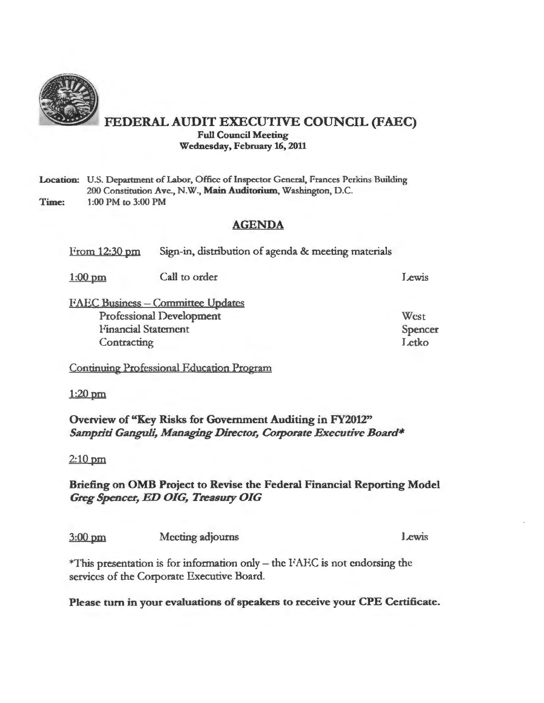

## FEDERAL AUDIT EXECUTIVE COUNCIL (FAEC) Full Council Meeting Wednesday, February 16, 2011

#### Location: U.S. Department of Labor, Office of Inspector General, Frances Perkins Building 200 Constitution Ave., N.W., Main Auditorium, Washington, D.C. Time: 1 :00 PM to 3:00 PM

## AGENDA

From 12:30 pm Sign-in, distribution of agenda & meeting materials

| $1:00$ pm                       | Call to order                            | Lewis   |
|---------------------------------|------------------------------------------|---------|
|                                 | <b>FAEC Business - Committee Updates</b> |         |
| <b>Professional Development</b> |                                          | West    |
| <b>Financial Statement</b>      |                                          | Spencer |
| Contracting                     |                                          | Letko   |

Continuing Professional Education Program

1:20pm

Overview of "Key Risks for Government Auditing in FY2012" *Sampriti Ganguli, Managing Director, Corporate Executive Board\** 

2:10 pm

## Briefing on OMB Project to Revise the Federal Financial Reporting Model *Greg Spencer, ED OIG, Treasury OIG*

3:00 pm Meeting adjourns less leavis

 $*$ This presentation is for information only – the FAEC is not endorsing the services of the Corporate Executive Board.

Please tum in your evaluations of speakers to receive your CPE Certificate.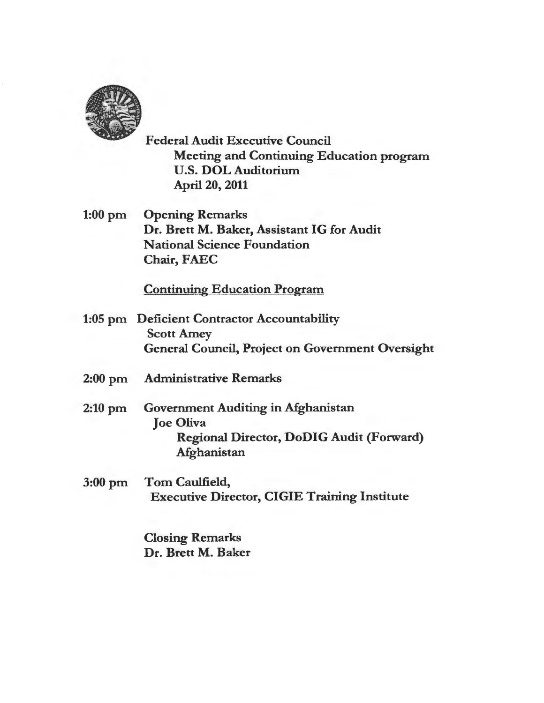

Federal Audit Executive Council Meeting and Continuing Education program U.S. DOL Auditorium April 20, 2011

1:00 pm Opening Remarks Dr. Brett M. Baker, Assistant IG for Audit National Science Foundation Chair, FAEC

## Continuing Education Program

- 1:05 pm Deficient Contractor Accountability Scott Amey General Council, Project on Government Oversight
- 2:00 pm Administrative Remarks
- 2:10 pm Government Auditing in Afghanistan Joe Oliva Regional Director, DoDIG Audit (Forward) Afghanistan
- 3:00 pm Tom Caulfield, Executive Director, CIGIE Training Institute

Closing Remarks Dr. Brett M. Baker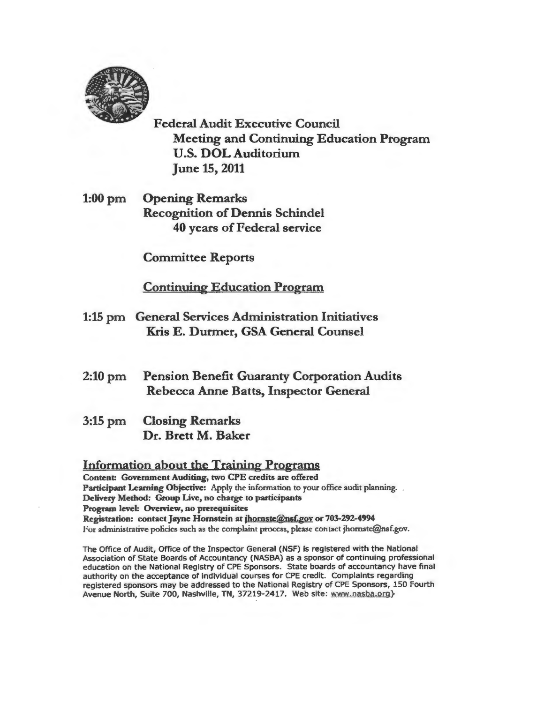

Federal Audit Executive Council Meeting and Continuing Education Program U.S. DOL Auditorium June 15, 2011

l:OOpm Opening Remarks Recognition of Dennis Schindel 40 years of Federal service

Committee Reports

Continuing Education Program

- 1:15 pm General Services Administration Initiatives Kris E. Durmer, GSA General Counsel
- 2:10 pm Pension Benefit Guaranty Corporation Audits Rebecca Anne Batts, Inspector General
- 3:15 pm Closing Remarks Dr. Brett M. Baker

## Information about the Training Programs

Content: Government Auditing, two CPE credits arc offered Participant Learning Objective: Apply the information to your office audit planning. Delivery Method: Group Live, no charge to participants Program level: Overview, no prerequisites Registration: contact Jayne Hornstein at jhomste@nsf.gov or 703-292-4994 For administrative policies such as the complaint process, please contact jhornste@nsf.gov.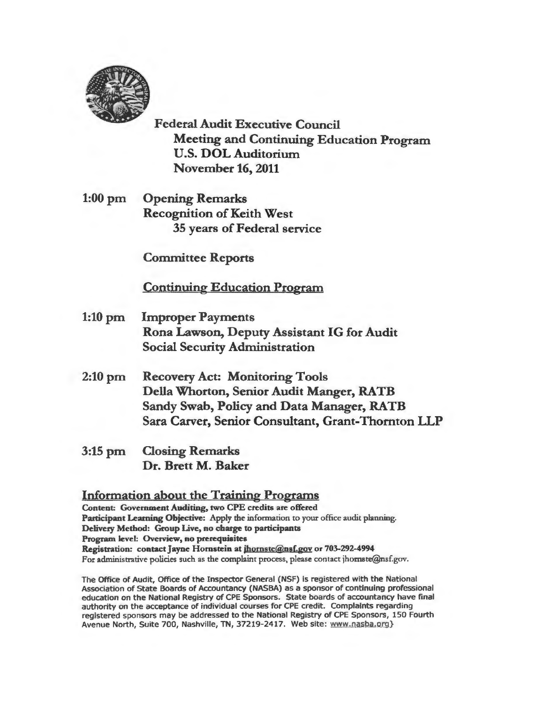

Federal Audit Executive Council Meeting and Continuing Education Program U.S. DOL Auditorium November 16, 2011

1:00 pm Opening Remarks Recognition of Keith West 35 years of Federal service

Committee Reports

Continuing Education Program

- 1:10 pm Improper Payments Rona Lawson, Deputy Assistant IG for Audit Social Security Administration
- 2:10 pm Recovery Act: Monitoring Tools Della Whorton, Senior Audit Manger, RATB Sandy Swab, Policy and Data Manager, RATB Sara Carver, Senior Consultant, Grant-Thornton LLP
- 3:15 pm Closing Remarks Dr. Brett M. Baker

Information about the Training Programs Content: Government Auditing, two CPE credits are offered Participant Leaming Objective: Apply the information to your office audit planning. Delivery Method: Group Live, no charge to participants Program level: Overview, no prerequisites Registration: contact Jayne Hornstein at jhomste@nsf.gov or 703-292-4994 For administrative policies such as the complaint process, please contact jhomste@nsf.gov.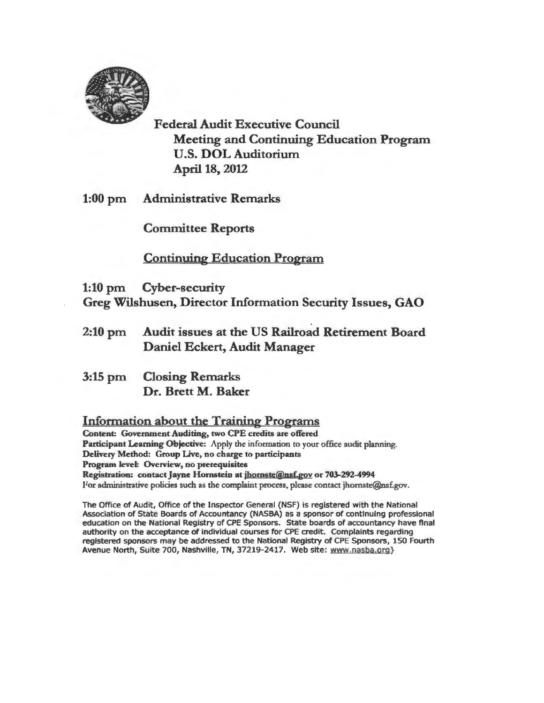

Federal Audit Executive Council Meeting and Continuing Education Program U.S. DOLAuditorium April 18, 2012

1:00 pm Administrative Remarks

Committee Reports

Continuing Education Program

1:10 pm Cyber-security Greg Wilshusen, Director Information Security Issues, GAO

- 2:10 pm Audit issues at the US Railroad Retirement Board Daniel Eckert, Audit Manager
- 3:15 pm Closing Remarks Dr. Brett M. Baker

## Information about the Training Programs

Content: Government Auditing, two CPE credits arc offered Participant Learning Objective: Apply the information to your office audit planning. Delivery Method: Group Live, no charge to participants Program level: Overview, no prerequisites Registration: contact Jayne Hornstein at jhornste@nsf.gov or 703-292-4994 For administrative policies such as the complaint process, please contact jhomste@ns£gov.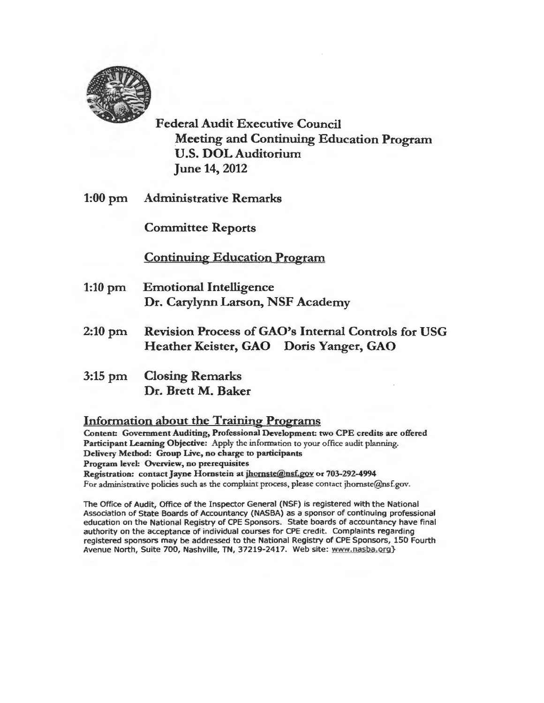

Federal Audit Executive Council Meeting and Continuing Education Program U.S. DOL Auditorium June 14, 2012

1:00 pm Administrative Remarks

Committee Reports

Continuing Education Program

- 1:10 pm Emotional Intelligence Dr. Carylynn Larson, NSF Academy
- 2:10 pm Revision Process of GAO's Internal Controls for USG Heather Keister, GAO Doris Yanger, GAO
- 3:15 pm Closing Remarks Dr. Brett M. Baker

## Information about the Training Programs

Content: Government Auditing, Professional Development: two CPE credits are offered Participant Learning Objective: Apply the information to your office audit planning. Delivery Method: Group Live, no charge to participants Program level: Overview, no prerequisites Registration: contact Jayne Hornstein at jhomste@nsf.gov or 703-292-4994 For administrative policies such as the complaint process, please contact jhomste@nsf.gov.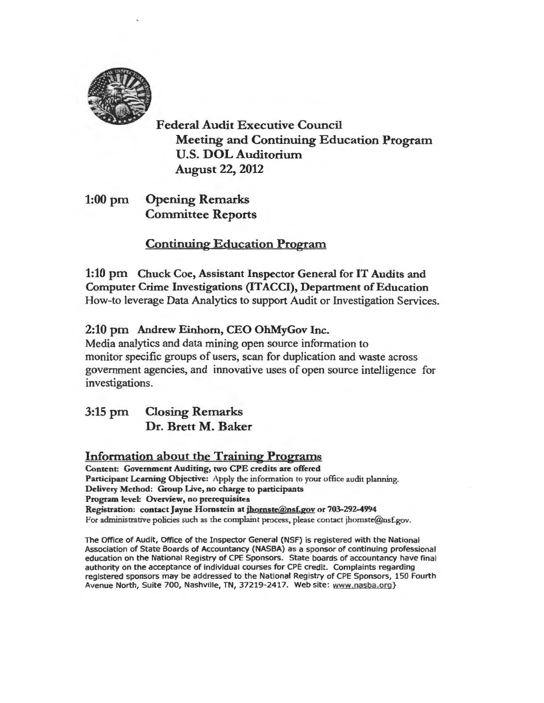

Federal Audit Executive Council Meeting and Continuing Education Program U.S. DOL Auditorium August 22, 2012

1:00 pm Opening Remarks Committee Reports

Continuing Education Program

1:10 pm Chuck Coe, Assistant Inspector General for IT Audits and Computer Crime Investigations (ITACCI), Department of Education How-to leverage Data Analytics to support Audit or Investigation Services.

## 2:10 pm Andrew Einhorn, CEO OhMyGov Inc.

Media analytics and data mining open source information to monitor specific groups of users, scan for duplication and waste across government agencies, and innovative uses of open source intelligence for investigations.

3:15 pm Closing Remarks Dr. Brett M. Baker

## Information about the Training Programs

Content: Government Auditing, two CPE credits are offered Participant Learning Objective: Apply the information to your office audit planning. Delivery Method: Group Live, no charge to participants Program level: Overview, no prerequisites Registration: contact Jayne Hornstein at jhornste@nsf.gov or 703-292-4994 For administrative policies such as the complaint process, please contact jhornste@nsf.gov.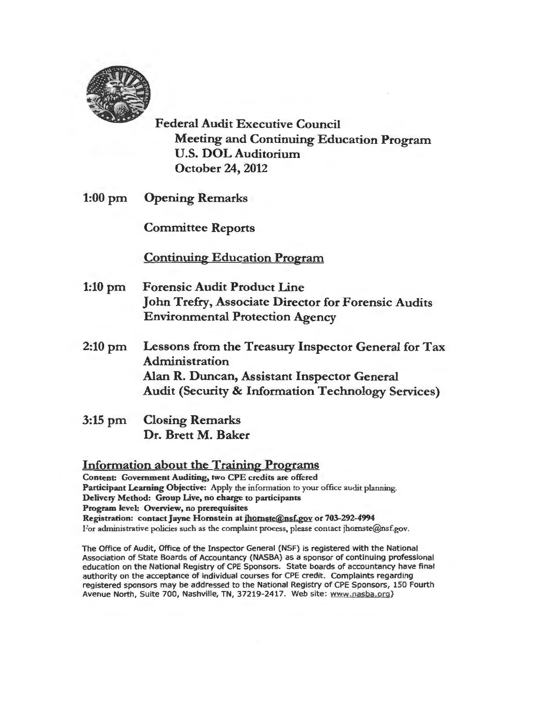

Federal Audit Executive Council Meeting and Continuing Education Program U.S. DOL Auditorium October 24, 2012

1:00 pm Opening Remarks

Committee Reports

Continuing Education Program

- 1:10 pm Forensic Audit Product Line John Trefry, Associate Director for Forensic Audits Environmental Protection Agency
- 2:10 pm Lessons from the Treasury Inspector General for Tax Administration Alan R. Duncan, Assistant Inspector General Audit (Security & Information Technology Services)
- 3:15 pm Closing Remarks Dr. Brett M. Baker

Information about the Training Programs Content: Government Auditing, two CPE credits are offered Participant Learning Objective: Apply the information to your office audit planning. Delivery Method: Group Live, no charge to participants Program level: Overview, no prerequisites Registration: contact Jayne Hornstein at jbomste@nsf.gov or 703-292-4994 For administrative policies such as the complaint process. please contact jhomste@nsf.gov.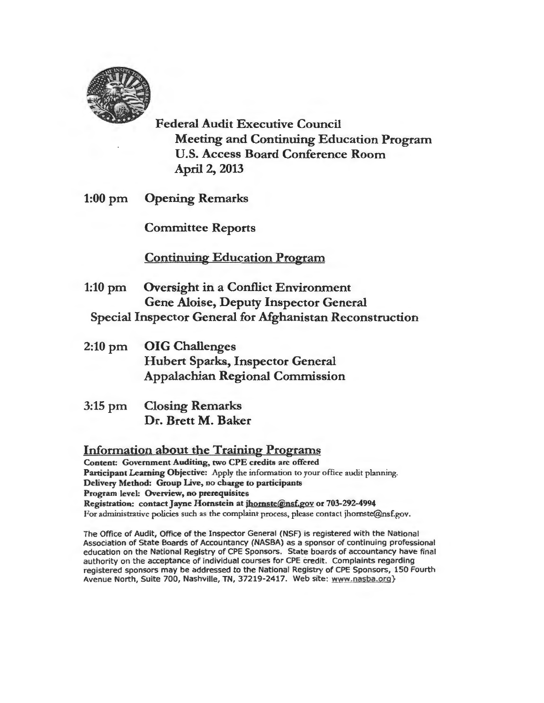

Federal Audit Executive Council Meeting and Continuing Education Program U.S. Access Board Conference Room April 2, 2013

1:00 pm Opening Remarks

Committee Reports

Continuing Education Program

- 1:10 pm Oversight in a Conflict Environment Gene Aloise, Deputy Inspector General Special Inspector General for Afghanistan Reconstruction
- 2:10 pm OIG Challenges Hubert Sparks, Inspector General Appalachian Regional Commission
- 3:15 pm Closing Remarks Dr. Brett M. Baker

Information about the Training Programs

Content: Government Auditing, two CPE credits arc offered Participant Learning Objective: Apply the information to your office audit planning. Delivery Method: Group Live, no charge to participants Program level: Overview, no prerequisites Registration: contact Jayne Hornstein at jhornste@nsf.gov or 703-292-4994 For administrative policies such as the complaint process, please contact jhornste@nsf.gov.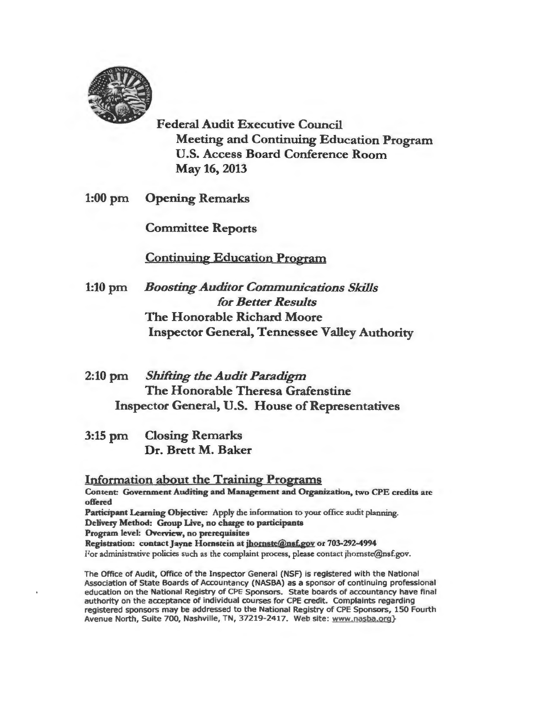

Federal Audit Executive Council Meeting and Continuing Education Program U.S. Access Board Conference Room May 16, 2013

1:00 pm Opening Remarks

Committee Reports

Continuing Education Program

- 1:10 pm *Boosting Auditor Communications Skills for Better Results*  The Honorable Richard Moore Inspector General, Tennessee Valley Authority
- 2:10 pm *Shifting the Audit Paradigm*  The Honorable Theresa Grafenstine Inspector General, U.S. House of Representatives
- 3:15 pm Closing Remarks Dr. Brett M. Baker

Information about the Training Programs Content: Government Auditing and Management and Organization, two CPE credits arc offered Participant Leaming Objective: Apply the information to your office audit planning. Delivery Method: Group Live, no charge to participants Program level: Overview, no prerequisites Registration: contact Jayne Hornstein at jhornste@nsf.gov or 703-292-4994 For administrative policies such as the complaint process, please contact jhomste@nsf.gov.